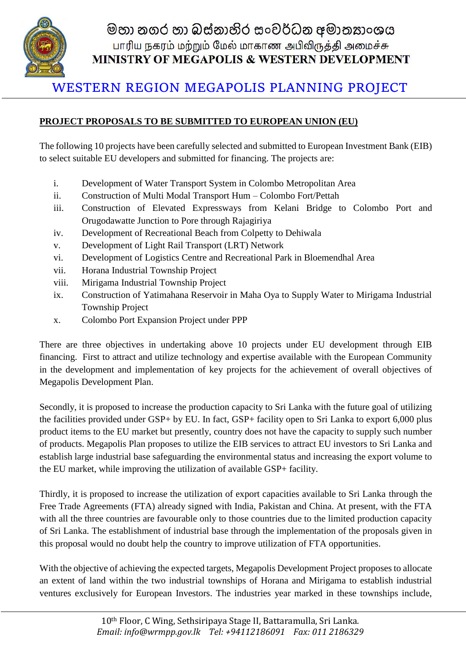

මහා නගර හා බස්නාහිර සංවර්ධන අමාතනාංශය பாரிய நகரம் மற்றும் மேல் மாகாண அபிவிருத்தி அமைச்சு MINISTRY OF MEGAPOLIS & WESTERN DEVELOPMENT

## WESTERN REGION MEGAPOLIS PLANNING PROJECT

## **PROJECT PROPOSALS TO BE SUBMITTED TO EUROPEAN UNION (EU)**

The following 10 projects have been carefully selected and submitted to European Investment Bank (EIB) to select suitable EU developers and submitted for financing. The projects are:

- i. Development of Water Transport System in Colombo Metropolitan Area
- ii. Construction of Multi Modal Transport Hum Colombo Fort/Pettah
- iii. Construction of Elevated Expressways from Kelani Bridge to Colombo Port and Orugodawatte Junction to Pore through Rajagiriya
- iv. Development of Recreational Beach from Colpetty to Dehiwala
- v. Development of Light Rail Transport (LRT) Network
- vi. Development of Logistics Centre and Recreational Park in Bloemendhal Area
- vii. Horana Industrial Township Project
- viii. Mirigama Industrial Township Project
- ix. Construction of Yatimahana Reservoir in Maha Oya to Supply Water to Mirigama Industrial Township Project
- x. Colombo Port Expansion Project under PPP

There are three objectives in undertaking above 10 projects under EU development through EIB financing. First to attract and utilize technology and expertise available with the European Community in the development and implementation of key projects for the achievement of overall objectives of Megapolis Development Plan.

Secondly, it is proposed to increase the production capacity to Sri Lanka with the future goal of utilizing the facilities provided under GSP+ by EU. In fact, GSP+ facility open to Sri Lanka to export 6,000 plus product items to the EU market but presently, country does not have the capacity to supply such number of products. Megapolis Plan proposes to utilize the EIB services to attract EU investors to Sri Lanka and establish large industrial base safeguarding the environmental status and increasing the export volume to the EU market, while improving the utilization of available GSP+ facility.

Thirdly, it is proposed to increase the utilization of export capacities available to Sri Lanka through the Free Trade Agreements (FTA) already signed with India, Pakistan and China. At present, with the FTA with all the three countries are favourable only to those countries due to the limited production capacity of Sri Lanka. The establishment of industrial base through the implementation of the proposals given in this proposal would no doubt help the country to improve utilization of FTA opportunities.

With the objective of achieving the expected targets, Megapolis Development Project proposes to allocate an extent of land within the two industrial townships of Horana and Mirigama to establish industrial ventures exclusively for European Investors. The industries year marked in these townships include,